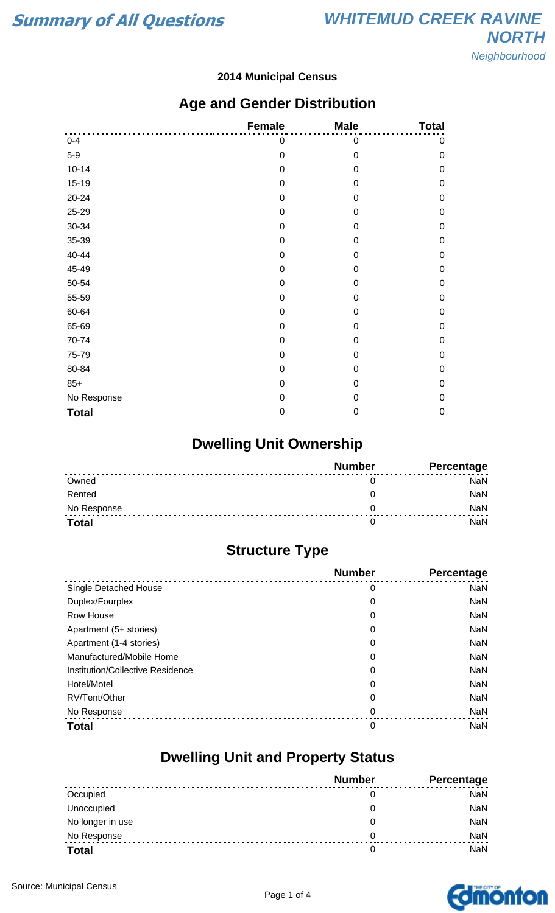#### **2014 Municipal Census**

### **Age and Gender Distribution**

|              | <b>Female</b>    | <b>Male</b>      | <b>Total</b> |
|--------------|------------------|------------------|--------------|
| $0 - 4$      | 0                | 0                | 0            |
| $5-9$        | $\mathbf 0$      | $\mathbf 0$      | $\mathbf 0$  |
| $10 - 14$    | $\mathbf 0$      | 0                | $\mathbf 0$  |
| $15 - 19$    | 0                | 0                | $\mathbf 0$  |
| 20-24        | $\mathbf 0$      | 0                | $\mathbf 0$  |
| 25-29        | $\mathbf 0$      | $\boldsymbol{0}$ | $\mathbf 0$  |
| 30-34        | $\mathbf 0$      | 0                | $\mathbf 0$  |
| 35-39        | $\boldsymbol{0}$ | 0                | $\mathbf 0$  |
| 40-44        | $\mathbf 0$      | $\Omega$         | $\mathbf 0$  |
| 45-49        | $\boldsymbol{0}$ | 0                | $\mathbf 0$  |
| 50-54        | $\mathbf 0$      | 0                | $\mathbf 0$  |
| 55-59        | $\mathbf 0$      | 0                | $\mathbf 0$  |
| 60-64        | $\mathbf 0$      | 0                | $\mathbf 0$  |
| 65-69        | $\boldsymbol{0}$ | $\mathbf 0$      | $\mathbf 0$  |
| 70-74        | $\boldsymbol{0}$ | 0                | $\mathbf 0$  |
| 75-79        | $\mathbf 0$      | 0                | $\mathbf 0$  |
| 80-84        | $\mathbf 0$      | 0                | $\mathbf 0$  |
| $85+$        | $\mathbf 0$      | $\mathbf 0$      | $\mathbf 0$  |
| No Response  | $\mathbf 0$      | 0                | $\pmb{0}$    |
| <b>Total</b> | $\mathbf 0$      | $\boldsymbol{0}$ | $\pmb{0}$    |

## **Dwelling Unit Ownership**

|              | <b>Number</b> | Percentage |
|--------------|---------------|------------|
| Owned        |               | <b>NaN</b> |
| Rented       |               | <b>NaN</b> |
| No Response  |               | <b>NaN</b> |
| <b>Total</b> |               | NaN        |

## **Structure Type**

|                                  | <b>Number</b> | Percentage |
|----------------------------------|---------------|------------|
| Single Detached House            | 0             | <b>NaN</b> |
| Duplex/Fourplex                  | 0             | <b>NaN</b> |
| Row House                        | 0             | <b>NaN</b> |
| Apartment (5+ stories)           | 0             | <b>NaN</b> |
| Apartment (1-4 stories)          | 0             | <b>NaN</b> |
| Manufactured/Mobile Home         | 0             | <b>NaN</b> |
| Institution/Collective Residence | 0             | <b>NaN</b> |
| Hotel/Motel                      | 0             | <b>NaN</b> |
| RV/Tent/Other                    | 0             | <b>NaN</b> |
| No Response                      | 0             | <b>NaN</b> |
| <b>Total</b>                     | 0             | <b>NaN</b> |

### **Dwelling Unit and Property Status**

|                  | <b>Number</b> | <b>Percentage</b> |
|------------------|---------------|-------------------|
| Occupied         | 0             | <b>NaN</b>        |
| Unoccupied       | 0             | NaN               |
| No longer in use | 0             | NaN               |
| No Response      | 0             | <b>NaN</b>        |
| <b>Total</b>     | 0             | <b>NaN</b>        |

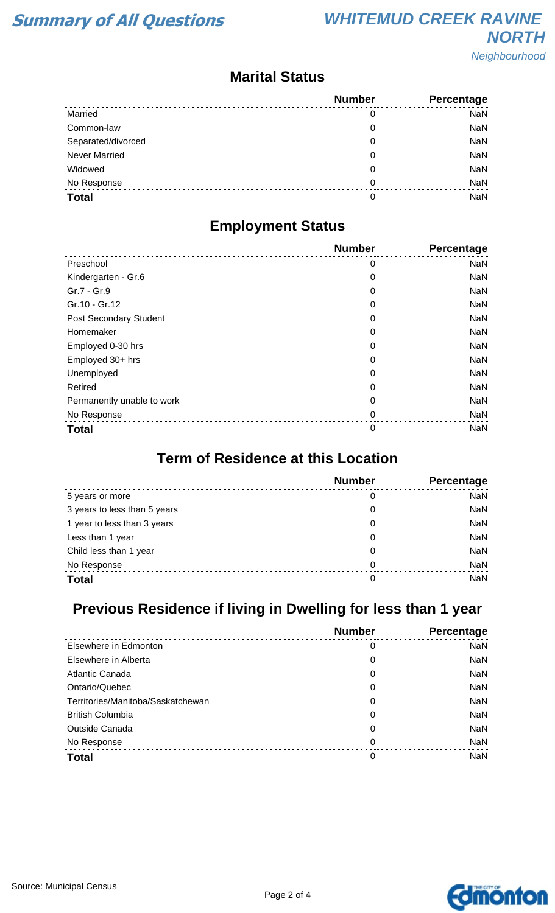### **Marital Status**

|                      | <b>Number</b> | Percentage |
|----------------------|---------------|------------|
| Married              | 0             | <b>NaN</b> |
| Common-law           | 0             | <b>NaN</b> |
| Separated/divorced   | 0             | <b>NaN</b> |
| <b>Never Married</b> | 0             | <b>NaN</b> |
| Widowed              | 0             | <b>NaN</b> |
| No Response          | 0             | <b>NaN</b> |
| <b>Total</b>         | 0             | <b>NaN</b> |

### **Employment Status**

|                            | <b>Number</b> | Percentage |
|----------------------------|---------------|------------|
| Preschool                  | 0             | <b>NaN</b> |
| Kindergarten - Gr.6        | 0             | <b>NaN</b> |
| Gr.7 - Gr.9                | 0             | <b>NaN</b> |
| Gr.10 - Gr.12              | 0             | <b>NaN</b> |
| Post Secondary Student     | 0             | <b>NaN</b> |
| Homemaker                  | 0             | <b>NaN</b> |
| Employed 0-30 hrs          | 0             | <b>NaN</b> |
| Employed 30+ hrs           | 0             | <b>NaN</b> |
| Unemployed                 | 0             | <b>NaN</b> |
| Retired                    | 0             | <b>NaN</b> |
| Permanently unable to work | 0             | <b>NaN</b> |
| No Response                | 0             | <b>NaN</b> |
| <b>Total</b>               | $\mathbf 0$   | <b>NaN</b> |

### **Term of Residence at this Location**

|                              | <b>Number</b> | Percentage |
|------------------------------|---------------|------------|
| 5 years or more              | 0             | NaN        |
| 3 years to less than 5 years | 0             | NaN        |
| 1 year to less than 3 years  | 0             | NaN        |
| Less than 1 year             | 0             | NaN        |
| Child less than 1 year       | 0             | NaN        |
| No Response                  | $\Omega$      | NaN        |
| <b>Total</b>                 | 0             | NaN        |

# **Previous Residence if living in Dwelling for less than 1 year**

|                                   | <b>Number</b> | Percentage |
|-----------------------------------|---------------|------------|
| Elsewhere in Edmonton             | 0             | <b>NaN</b> |
| Elsewhere in Alberta              | 0             | <b>NaN</b> |
| <b>Atlantic Canada</b>            | 0             | <b>NaN</b> |
| Ontario/Quebec                    | 0             | <b>NaN</b> |
| Territories/Manitoba/Saskatchewan | 0             | <b>NaN</b> |
| <b>British Columbia</b>           | 0             | <b>NaN</b> |
| <b>Outside Canada</b>             | 0             | <b>NaN</b> |
| No Response                       | 0             | <b>NaN</b> |
| <b>Total</b>                      | 0             | <b>NaN</b> |

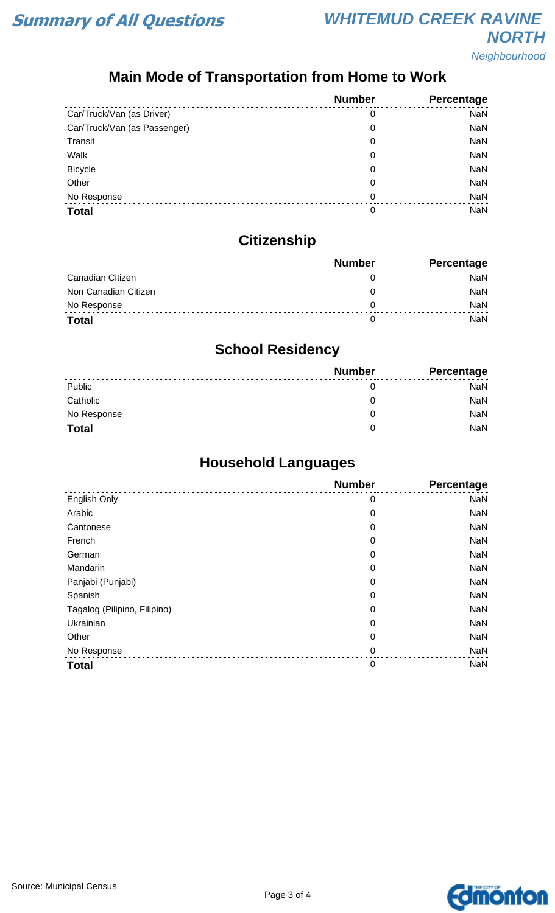# **Main Mode of Transportation from Home to Work**

|                              | <b>Number</b> | Percentage |
|------------------------------|---------------|------------|
| Car/Truck/Van (as Driver)    | 0             | <b>NaN</b> |
| Car/Truck/Van (as Passenger) | 0             | <b>NaN</b> |
| Transit                      | 0             | <b>NaN</b> |
| Walk                         | 0             | <b>NaN</b> |
| <b>Bicycle</b>               | 0             | <b>NaN</b> |
| Other                        | 0             | <b>NaN</b> |
| No Response                  | 0             | <b>NaN</b> |
| <b>Total</b>                 | 0             | NaN        |

# **Citizenship**

|                      | <b>Number</b> | <b>Percentage</b> |
|----------------------|---------------|-------------------|
| Canadian Citizen     |               | NaN               |
| Non Canadian Citizen |               | <b>NaN</b>        |
| No Response          |               | <b>NaN</b>        |
| <b>Total</b>         |               | NaN               |

## **School Residency**

|              | <b>Number</b> | <b>Percentage</b> |
|--------------|---------------|-------------------|
| Public       |               | NaN               |
| Catholic     |               | NaN               |
| No Response  |               | <b>NaN</b>        |
| <b>Total</b> |               | NaN               |

## **Household Languages**

|                              | <b>Number</b> | Percentage |
|------------------------------|---------------|------------|
| English Only                 | 0             | <b>NaN</b> |
| Arabic                       | 0             | <b>NaN</b> |
| Cantonese                    | 0             | <b>NaN</b> |
| French                       | 0             | <b>NaN</b> |
| German                       | 0             | <b>NaN</b> |
| Mandarin                     | 0             | <b>NaN</b> |
| Panjabi (Punjabi)            | 0             | <b>NaN</b> |
| Spanish                      | 0             | <b>NaN</b> |
| Tagalog (Pilipino, Filipino) | 0             | <b>NaN</b> |
| Ukrainian                    | 0             | <b>NaN</b> |
| Other                        | 0             | <b>NaN</b> |
| No Response                  | $\mathbf 0$   | <b>NaN</b> |
| <b>Total</b>                 | $\mathbf 0$   | <b>NaN</b> |